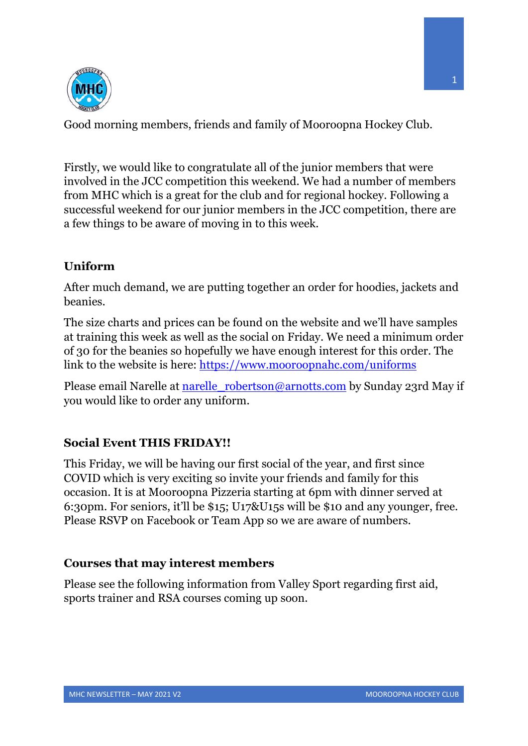

Good morning members, friends and family of Mooroopna Hockey Club.

Firstly, we would like to congratulate all of the junior members that were involved in the JCC competition this weekend. We had a number of members from MHC which is a great for the club and for regional hockey. Following a successful weekend for our junior members in the JCC competition, there are a few things to be aware of moving in to this week.

## **Uniform**

After much demand, we are putting together an order for hoodies, jackets and beanies.

The size charts and prices can be found on the website and we'll have samples at training this week as well as the social on Friday. We need a minimum order of 30 for the beanies so hopefully we have enough interest for this order. The link to the website is here: https://www.mooroopnahc.com/uniforms

Please email Narelle at narelle robertson@arnotts.com by Sunday 23rd May if you would like to order any uniform.

## **Social Event THIS FRIDAY!!**

This Friday, we will be having our first social of the year, and first since COVID which is very exciting so invite your friends and family for this occasion. It is at Mooroopna Pizzeria starting at 6pm with dinner served at 6:30pm. For seniors, it'll be \$15; U17&U15s will be \$10 and any younger, free. Please RSVP on Facebook or Team App so we are aware of numbers.

### **Courses that may interest members**

Please see the following information from Valley Sport regarding first aid, sports trainer and RSA courses coming up soon.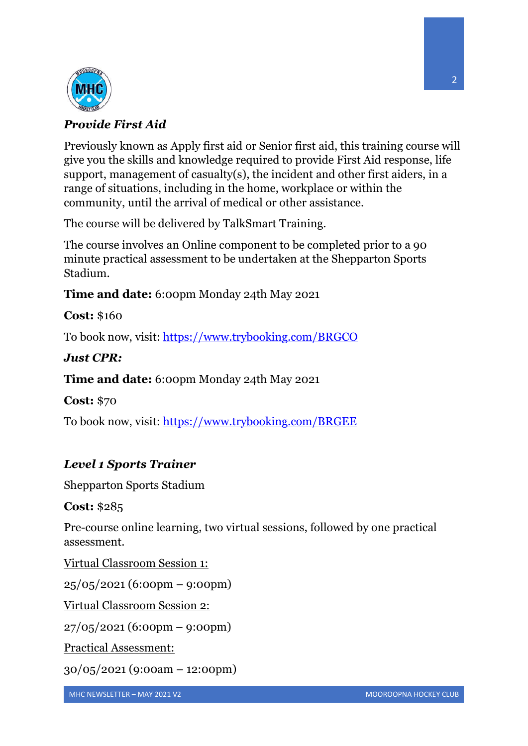

## *Provide First Aid*

Previously known as Apply first aid or Senior first aid, this training course will give you the skills and knowledge required to provide First Aid response, life support, management of casualty(s), the incident and other first aiders, in a range of situations, including in the home, workplace or within the community, until the arrival of medical or other assistance.

The course will be delivered by TalkSmart Training.

The course involves an Online component to be completed prior to a 90 minute practical assessment to be undertaken at the Shepparton Sports Stadium.

**Time and date:** 6:00pm Monday 24th May 2021

**Cost:** \$160

To book now, visit: https://www.trybooking.com/BRGCO

## *Just CPR:*

**Time and date:** 6:00pm Monday 24th May 2021

**Cost:** \$70

To book now, visit: https://www.trybooking.com/BRGEE

# *Level 1 Sports Trainer*

Shepparton Sports Stadium

**Cost:** \$285

Pre-course online learning, two virtual sessions, followed by one practical assessment.

Virtual Classroom Session 1:

25/05/2021 (6:00pm – 9:00pm)

Virtual Classroom Session 2:

27/05/2021 (6:00pm – 9:00pm)

Practical Assessment:

30/05/2021 (9:00am – 12:00pm)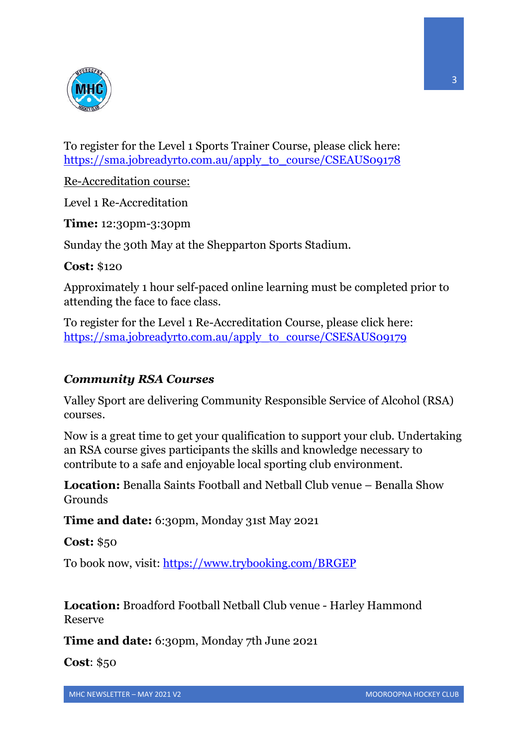

To register for the Level 1 Sports Trainer Course, please click here: https://sma.jobreadyrto.com.au/apply\_to\_course/CSEAUS09178

Re-Accreditation course:

Level 1 Re-Accreditation

**Time:** 12:30pm-3:30pm

Sunday the 30th May at the Shepparton Sports Stadium.

**Cost:** \$120

Approximately 1 hour self-paced online learning must be completed prior to attending the face to face class.

To register for the Level 1 Re-Accreditation Course, please click here: https://sma.jobreadyrto.com.au/apply\_to\_course/CSESAUS09179

### *Community RSA Courses*

Valley Sport are delivering Community Responsible Service of Alcohol (RSA) courses.

Now is a great time to get your qualification to support your club. Undertaking an RSA course gives participants the skills and knowledge necessary to contribute to a safe and enjoyable local sporting club environment.

**Location:** Benalla Saints Football and Netball Club venue – Benalla Show Grounds

**Time and date:** 6:30pm, Monday 31st May 2021

**Cost:** \$50

To book now, visit: https://www.trybooking.com/BRGEP

**Location:** Broadford Football Netball Club venue - Harley Hammond Reserve

**Time and date:** 6:30pm, Monday 7th June 2021

**Cost**: \$50